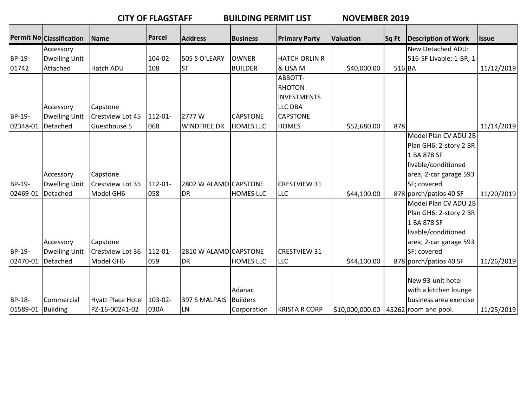|  |  | <b>CITY OF FLAGSTAFF</b> |
|--|--|--------------------------|
|  |  |                          |

BUILDING PERMIT LIST NOVEMBER 2019

|                   |                                 |                   | Parcel       |                       |                  |                      |                                         |        |                            |              |
|-------------------|---------------------------------|-------------------|--------------|-----------------------|------------------|----------------------|-----------------------------------------|--------|----------------------------|--------------|
|                   | <b>Permit No Classification</b> | Name              |              | <b>Address</b>        | <b>Business</b>  | <b>Primary Party</b> | <b>Valuation</b>                        | Sq Ft  | <b>Description of Work</b> | <b>Issue</b> |
|                   | Accessory                       |                   |              |                       |                  |                      |                                         |        | New Detached ADU:          |              |
| BP-19-            | <b>Dwelling Unit</b>            |                   | $104 - 02 -$ | 505 S O'LEARY         | <b>OWNER</b>     | <b>HATCH ORLIN R</b> |                                         |        | 516-SF Livable; 1-BR; 1-   |              |
| 01742             | Attached                        | Hatch ADU         | 108          | <b>ST</b>             | <b>BUILDER</b>   | & LISA M             | \$40,000.00                             | 516 BA |                            | 11/12/2019   |
|                   |                                 |                   |              |                       |                  | ABBOTT-              |                                         |        |                            |              |
|                   |                                 |                   |              |                       |                  | <b>RHOTON</b>        |                                         |        |                            |              |
|                   |                                 |                   |              |                       |                  | <b>INVESTMENTS</b>   |                                         |        |                            |              |
|                   | Accessory                       | Capstone          |              |                       |                  | <b>LLC DBA</b>       |                                         |        |                            |              |
| BP-19-            | <b>Dwelling Unit</b>            | Crestview Lot 45  | 112-01-      | 2777W                 | <b>CAPSTONE</b>  | <b>CAPSTONE</b>      |                                         |        |                            |              |
| 02348-01          | Detached                        | Guesthouse 5      | 068          | <b>WINDTREE DR</b>    | <b>HOMES LLC</b> | <b>HOMES</b>         | \$52,680.00                             | 878    |                            | 11/14/2019   |
|                   |                                 |                   |              |                       |                  |                      |                                         |        | Model Plan CV ADU 2B       |              |
|                   |                                 |                   |              |                       |                  |                      |                                         |        | Plan GH6: 2-story 2 BR     |              |
|                   |                                 |                   |              |                       |                  |                      |                                         |        | 1 BA 878 SF                |              |
|                   |                                 |                   |              |                       |                  |                      |                                         |        | livable/conditioned        |              |
|                   | Accessory                       | Capstone          |              |                       |                  |                      |                                         |        | area; 2-car garage 593     |              |
| BP-19-            | <b>Dwelling Unit</b>            | Crestview Lot 35  | 112-01-      | 2802 W ALAMO CAPSTONE |                  | <b>CRESTVIEW 31</b>  |                                         |        | SF; covered                |              |
| 02469-01          | Detached                        | Model GH6         | 058          | DR                    | <b>HOMES LLC</b> | <b>LLC</b>           | \$44,100.00                             |        | 878 porch/patios 40 SF     | 11/20/2019   |
|                   |                                 |                   |              |                       |                  |                      |                                         |        | Model Plan CV ADU 2B       |              |
|                   |                                 |                   |              |                       |                  |                      |                                         |        | Plan GH6: 2-story 2 BR     |              |
|                   |                                 |                   |              |                       |                  |                      |                                         |        | 1 BA 878 SF                |              |
|                   |                                 |                   |              |                       |                  |                      |                                         |        | livable/conditioned        |              |
|                   | Accessory                       | Capstone          |              |                       |                  |                      |                                         |        | area; 2-car garage 593     |              |
| BP-19-            | <b>Dwelling Unit</b>            | Crestview Lot 36  | 112-01-      | 2810 W ALAMO CAPSTONE |                  | <b>CRESTVIEW 31</b>  |                                         |        | SF; covered                |              |
| 02470-01          | Detached                        | Model GH6         | 059          | <b>DR</b>             | <b>HOMES LLC</b> | <b>LLC</b>           | \$44,100.00                             |        | 878 porch/patios 40 SF     | 11/26/2019   |
|                   |                                 |                   |              |                       |                  |                      |                                         |        |                            |              |
|                   |                                 |                   |              |                       |                  |                      |                                         |        | New 93-unit hotel          |              |
|                   |                                 |                   |              |                       | Adanac           |                      |                                         |        | with a kitchen lounge      |              |
| BP-18-            | Commercial                      | Hyatt Place Hotel | $103 - 02$   | 397 S MALPAIS         | Builders         |                      |                                         |        | business area exercise     |              |
| 01589-01 Building |                                 | PZ-16-00241-02    | 030A         | LN                    | Corporation      | <b>KRISTA R CORP</b> | $$10,000,000.00$   45262 room and pool. |        |                            | 11/25/2019   |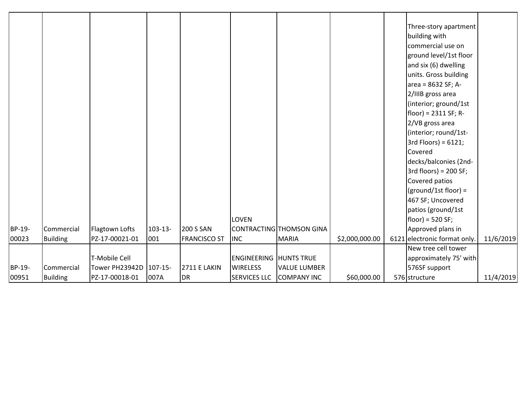|        |                 |                |              |                     |                               |                          |                | Three-story apartment        |           |
|--------|-----------------|----------------|--------------|---------------------|-------------------------------|--------------------------|----------------|------------------------------|-----------|
|        |                 |                |              |                     |                               |                          |                | building with                |           |
|        |                 |                |              |                     |                               |                          |                | commercial use on            |           |
|        |                 |                |              |                     |                               |                          |                | ground level/1st floor       |           |
|        |                 |                |              |                     |                               |                          |                | and six (6) dwelling         |           |
|        |                 |                |              |                     |                               |                          |                | units. Gross building        |           |
|        |                 |                |              |                     |                               |                          |                | area = 8632 SF; A-           |           |
|        |                 |                |              |                     |                               |                          |                | 2/IIIB gross area            |           |
|        |                 |                |              |                     |                               |                          |                | (interior; ground/1st        |           |
|        |                 |                |              |                     |                               |                          |                | $floor) = 2311 SF; R-$       |           |
|        |                 |                |              |                     |                               |                          |                | 2/VB gross area              |           |
|        |                 |                |              |                     |                               |                          |                | (interior; round/1st-        |           |
|        |                 |                |              |                     |                               |                          |                | $3rd$ Floors) = 6121;        |           |
|        |                 |                |              |                     |                               |                          |                | Covered                      |           |
|        |                 |                |              |                     |                               |                          |                | decks/balconies (2nd-        |           |
|        |                 |                |              |                     |                               |                          |                | $3rd$ floors) = 200 SF;      |           |
|        |                 |                |              |                     |                               |                          |                | Covered patios               |           |
|        |                 |                |              |                     |                               |                          |                | $(ground/1st floor) =$       |           |
|        |                 |                |              |                     |                               |                          |                | 467 SF; Uncovered            |           |
|        |                 |                |              |                     |                               |                          |                | patios (ground/1st           |           |
|        |                 |                |              |                     | <b>LOVEN</b>                  |                          |                | $floor) = 520 SF;$           |           |
| BP-19- | Commercial      | Flagtown Lofts | $103 - 13 -$ | <b>200 S SAN</b>    |                               | CONTRACTING THOMSON GINA |                | Approved plans in            |           |
| 00023  | <b>Building</b> | PZ-17-00021-01 | 001          | <b>FRANCISCO ST</b> | <b>INC</b>                    | <b>MARIA</b>             | \$2,000,000.00 | 6121 electronic format only. | 11/6/2019 |
|        |                 |                |              |                     |                               |                          |                | New tree cell tower          |           |
|        |                 | T-Mobile Cell  |              |                     | <b>ENGINEERING HUNTS TRUE</b> |                          |                | approximately 75' with       |           |
| BP-19- | Commercial      | Tower PH23942D | 107-15-      | <b>2711 E LAKIN</b> | <b>WIRELESS</b>               | <b>VALUE LUMBER</b>      |                | 576SF support                |           |
| 00951  | <b>Building</b> | PZ-17-00018-01 | 007A         | DR                  | <b>SERVICES LLC</b>           | <b>COMPANY INC</b>       | \$60,000.00    | 576 structure                | 11/4/2019 |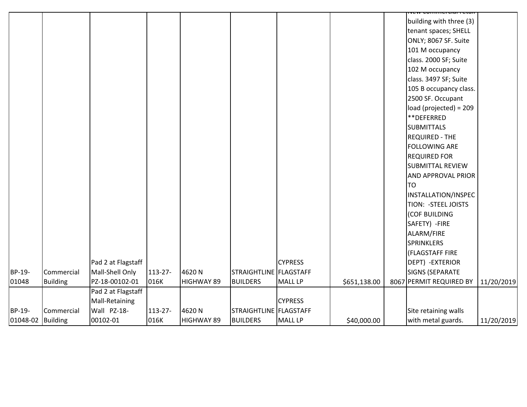|                   |                 |                    |         |                   |                          |                |              | <del>icii commercian ctar</del> |            |
|-------------------|-----------------|--------------------|---------|-------------------|--------------------------|----------------|--------------|---------------------------------|------------|
|                   |                 |                    |         |                   |                          |                |              | building with three (3)         |            |
|                   |                 |                    |         |                   |                          |                |              | tenant spaces; SHELL            |            |
|                   |                 |                    |         |                   |                          |                |              | ONLY; 8067 SF. Suite            |            |
|                   |                 |                    |         |                   |                          |                |              | 101 M occupancy                 |            |
|                   |                 |                    |         |                   |                          |                |              | class. 2000 SF; Suite           |            |
|                   |                 |                    |         |                   |                          |                |              | 102 M occupancy                 |            |
|                   |                 |                    |         |                   |                          |                |              | class. 3497 SF; Suite           |            |
|                   |                 |                    |         |                   |                          |                |              | 105 B occupancy class.          |            |
|                   |                 |                    |         |                   |                          |                |              | 2500 SF. Occupant               |            |
|                   |                 |                    |         |                   |                          |                |              | load (projected) = 209          |            |
|                   |                 |                    |         |                   |                          |                |              | **DEFERRED                      |            |
|                   |                 |                    |         |                   |                          |                |              | <b>SUBMITTALS</b>               |            |
|                   |                 |                    |         |                   |                          |                |              | <b>REQUIRED - THE</b>           |            |
|                   |                 |                    |         |                   |                          |                |              | <b>FOLLOWING ARE</b>            |            |
|                   |                 |                    |         |                   |                          |                |              | <b>REQUIRED FOR</b>             |            |
|                   |                 |                    |         |                   |                          |                |              | <b>SUBMITTAL REVIEW</b>         |            |
|                   |                 |                    |         |                   |                          |                |              | <b>AND APPROVAL PRIOR</b>       |            |
|                   |                 |                    |         |                   |                          |                |              | <b>TO</b>                       |            |
|                   |                 |                    |         |                   |                          |                |              | INSTALLATION/INSPEC             |            |
|                   |                 |                    |         |                   |                          |                |              | TION: - STEEL JOISTS            |            |
|                   |                 |                    |         |                   |                          |                |              | (COF BUILDING                   |            |
|                   |                 |                    |         |                   |                          |                |              | SAFETY) - FIRE                  |            |
|                   |                 |                    |         |                   |                          |                |              | ALARM/FIRE                      |            |
|                   |                 |                    |         |                   |                          |                |              | <b>SPRINKLERS</b>               |            |
|                   |                 |                    |         |                   |                          |                |              | (FLAGSTAFF FIRE                 |            |
|                   |                 | Pad 2 at Flagstaff |         |                   |                          | <b>CYPRESS</b> |              | DEPT) - EXTERIOR                |            |
| BP-19-            | Commercial      | Mall-Shell Only    | 113-27- | 4620N             | STRAIGHTLINE   FLAGSTAFF |                |              | <b>SIGNS (SEPARATE</b>          |            |
| 01048             | <b>Building</b> | PZ-18-00102-01     | 016K    | HIGHWAY 89        | <b>BUILDERS</b>          | <b>MALL LP</b> | \$651,138.00 | 8067 PERMIT REQUIRED BY         | 11/20/2019 |
|                   |                 | Pad 2 at Flagstaff |         |                   |                          |                |              |                                 |            |
|                   |                 | Mall-Retaining     |         |                   |                          | <b>CYPRESS</b> |              |                                 |            |
| BP-19-            | Commercial      | Wall PZ-18-        | 113-27- | 4620N             | STRAIGHTLINE   FLAGSTAFF |                |              | Site retaining walls            |            |
| 01048-02 Building |                 | 00102-01           | 016K    | <b>HIGHWAY 89</b> | <b>BUILDERS</b>          | <b>MALL LP</b> | \$40,000.00  | with metal guards.              | 11/20/2019 |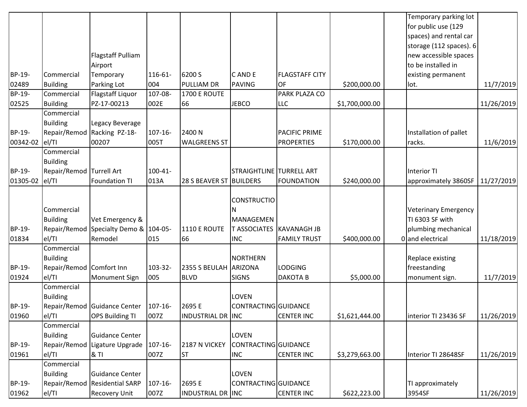| Temporary parking lot<br>for public use (129<br>spaces) and rental car<br>storage (112 spaces). 6<br><b>Flagstaff Pulliam</b><br>new accessible spaces<br>to be installed in<br>Airport<br>BP-19-<br>116-61-<br>6200 S<br>C AND E<br>Commercial<br><b>FLAGSTAFF CITY</b><br>existing permanent<br>Temporary<br>02489<br>004<br>OF<br><b>Building</b><br>Parking Lot<br><b>PULLIAM DR</b><br>PAVING<br>\$200,000.00<br>lot.<br><b>BP-19-</b><br>Flagstaff Liquor<br>107-08-<br>PARK PLAZA CO<br>Commercial<br><b>1700 E ROUTE</b> | 11/7/2019<br>11/26/2019 |
|----------------------------------------------------------------------------------------------------------------------------------------------------------------------------------------------------------------------------------------------------------------------------------------------------------------------------------------------------------------------------------------------------------------------------------------------------------------------------------------------------------------------------------|-------------------------|
|                                                                                                                                                                                                                                                                                                                                                                                                                                                                                                                                  |                         |
|                                                                                                                                                                                                                                                                                                                                                                                                                                                                                                                                  |                         |
|                                                                                                                                                                                                                                                                                                                                                                                                                                                                                                                                  |                         |
|                                                                                                                                                                                                                                                                                                                                                                                                                                                                                                                                  |                         |
|                                                                                                                                                                                                                                                                                                                                                                                                                                                                                                                                  |                         |
|                                                                                                                                                                                                                                                                                                                                                                                                                                                                                                                                  |                         |
|                                                                                                                                                                                                                                                                                                                                                                                                                                                                                                                                  |                         |
|                                                                                                                                                                                                                                                                                                                                                                                                                                                                                                                                  |                         |
|                                                                                                                                                                                                                                                                                                                                                                                                                                                                                                                                  |                         |
| 02525<br>PZ-17-00213<br>002E<br><b>JEBCO</b><br><b>Building</b><br>66<br><b>LLC</b><br>\$1,700,000.00                                                                                                                                                                                                                                                                                                                                                                                                                            |                         |
| Commercial                                                                                                                                                                                                                                                                                                                                                                                                                                                                                                                       |                         |
| <b>Building</b><br>Legacy Beverage                                                                                                                                                                                                                                                                                                                                                                                                                                                                                               |                         |
| Racking PZ-18-<br>BP-19-<br>Repair/Remod<br>$107 - 16 -$<br>PACIFIC PRIME<br>Installation of pallet<br>2400 N                                                                                                                                                                                                                                                                                                                                                                                                                    |                         |
| 00342-02<br>el/Tl<br>00207<br>005T<br><b>WALGREENS ST</b><br><b>PROPERTIES</b><br>\$170,000.00<br>racks.                                                                                                                                                                                                                                                                                                                                                                                                                         | 11/6/2019               |
| Commercial                                                                                                                                                                                                                                                                                                                                                                                                                                                                                                                       |                         |
| <b>Building</b>                                                                                                                                                                                                                                                                                                                                                                                                                                                                                                                  |                         |
| BP-19-<br>Repair/Remod Turrell Art<br>$100 - 41 -$<br><b>STRAIGHTLINE TURRELL ART</b><br>Interior TI                                                                                                                                                                                                                                                                                                                                                                                                                             |                         |
| el/TI<br><b>Foundation TI</b><br>013A<br>01305-02<br>28 S BEAVER ST BUILDERS<br><b>FOUNDATION</b><br>\$240,000.00<br>approximately 3860SF                                                                                                                                                                                                                                                                                                                                                                                        | 11/27/2019              |
|                                                                                                                                                                                                                                                                                                                                                                                                                                                                                                                                  |                         |
| <b>CONSTRUCTIO</b>                                                                                                                                                                                                                                                                                                                                                                                                                                                                                                               |                         |
| Commercial<br><b>Veterinary Emergency</b><br>N                                                                                                                                                                                                                                                                                                                                                                                                                                                                                   |                         |
| <b>Building</b><br>Vet Emergency &<br>TI 6303 SF with<br>MANAGEMEN                                                                                                                                                                                                                                                                                                                                                                                                                                                               |                         |
| BP-19-<br>Repair/Remod Specialty Demo & 104-05-<br><b>1110 E ROUTE</b><br>T ASSOCIATES   KAVANAGH JB                                                                                                                                                                                                                                                                                                                                                                                                                             |                         |
| plumbing mechanical                                                                                                                                                                                                                                                                                                                                                                                                                                                                                                              |                         |
| el/TI<br>0 and electrical<br>01834<br>Remodel<br>015<br>66<br><b>INC</b><br><b>FAMILY TRUST</b><br>\$400,000.00                                                                                                                                                                                                                                                                                                                                                                                                                  | 11/18/2019              |
| Commercial                                                                                                                                                                                                                                                                                                                                                                                                                                                                                                                       |                         |
| <b>Building</b><br>NORTHERN<br>Replace existing                                                                                                                                                                                                                                                                                                                                                                                                                                                                                  |                         |
| BP-19-<br>Repair/Remod Comfort Inn<br>103-32-<br>2355 S BEULAH ARIZONA<br><b>LODGING</b><br>freestanding                                                                                                                                                                                                                                                                                                                                                                                                                         |                         |
| el/TI<br>01924<br>005<br><b>BLVD</b><br>Monument Sign<br><b>SIGNS</b><br><b>DAKOTAB</b><br>\$5,000.00<br>monument sign.                                                                                                                                                                                                                                                                                                                                                                                                          | 11/7/2019               |
| Commercial                                                                                                                                                                                                                                                                                                                                                                                                                                                                                                                       |                         |
| <b>Building</b><br><b>LOVEN</b>                                                                                                                                                                                                                                                                                                                                                                                                                                                                                                  |                         |
| BP-19-<br>Repair/Remod Guidance Center   107-16-<br>2695 E<br>CONTRACTING GUIDANCE                                                                                                                                                                                                                                                                                                                                                                                                                                               |                         |
| 007Z<br>01960<br>el/TI<br><b>OPS Building TI</b><br>INDUSTRIAL DR INC<br><b>CENTER INC</b><br>\$1,621,444.00<br>interior TI 23436 SF                                                                                                                                                                                                                                                                                                                                                                                             | 11/26/2019              |
| Commercial                                                                                                                                                                                                                                                                                                                                                                                                                                                                                                                       |                         |
| Guidance Center<br>LOVEN<br><b>Building</b>                                                                                                                                                                                                                                                                                                                                                                                                                                                                                      |                         |
| BP-19-<br>Repair/Remod Ligature Upgrade<br>CONTRACTING GUIDANCE<br>$107 - 16 -$<br>2187 N VICKEY                                                                                                                                                                                                                                                                                                                                                                                                                                 |                         |
| el/TI<br>01961<br>007Z<br><b>INC</b><br><b>CENTER INC</b><br>\$3,279,663.00<br>Interior TI 28648SF<br>1& TI<br><b>ST</b>                                                                                                                                                                                                                                                                                                                                                                                                         | 11/26/2019              |
| Commercial                                                                                                                                                                                                                                                                                                                                                                                                                                                                                                                       |                         |
| <b>Building</b><br>Guidance Center<br><b>LOVEN</b>                                                                                                                                                                                                                                                                                                                                                                                                                                                                               |                         |
| Repair/Remod<br><b>Residential SARP</b><br>BP-19-<br>$107 - 16 -$<br>2695 E<br>CONTRACTING GUIDANCE<br>TI approximately                                                                                                                                                                                                                                                                                                                                                                                                          |                         |
| el/TI<br>007Z<br>01962<br><b>Recovery Unit</b><br>INDUSTRIAL DR INC<br><b>CENTER INC</b><br>3954SF<br>11/26/2019<br>\$622,223.00                                                                                                                                                                                                                                                                                                                                                                                                 |                         |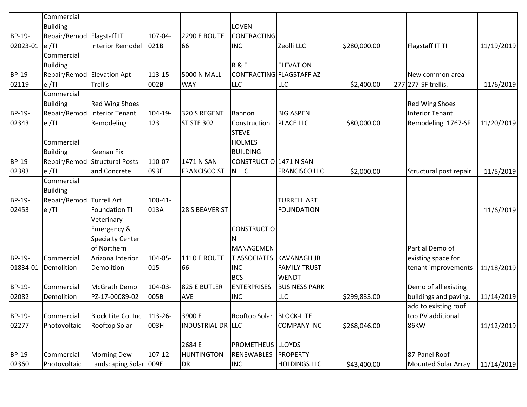|          | Commercial                 |                         |              |                          |                            |                      |              |                            |            |
|----------|----------------------------|-------------------------|--------------|--------------------------|----------------------------|----------------------|--------------|----------------------------|------------|
|          | <b>Building</b>            |                         |              |                          | <b>LOVEN</b>               |                      |              |                            |            |
| BP-19-   | Repair/Remod Flagstaff IT  |                         | 107-04-      | 2290 E ROUTE             | <b>CONTRACTING</b>         |                      |              |                            |            |
| 02023-01 | el/TI                      | <b>Interior Remodel</b> | 021B         | 66                       | <b>INC</b>                 | Zeolli LLC           | \$280,000.00 | Flagstaff IT TI            | 11/19/2019 |
|          | Commercial                 |                         |              |                          |                            |                      |              |                            |            |
|          | <b>Building</b>            |                         |              |                          | <b>R&amp;E</b>             | <b>ELEVATION</b>     |              |                            |            |
| BP-19-   | Repair/Remod Elevation Apt |                         | 113-15-      | <b>5000 N MALL</b>       | CONTRACTING FLAGSTAFF AZ   |                      |              | New common area            |            |
| 02119    | el/TI                      | <b>Trellis</b>          | 002B         | <b>WAY</b>               | <b>LLC</b>                 | <b>LLC</b>           | \$2,400.00   | 277 277-SF trellis.        | 11/6/2019  |
|          | Commercial                 |                         |              |                          |                            |                      |              |                            |            |
|          | <b>Building</b>            | <b>Red Wing Shoes</b>   |              |                          |                            |                      |              | <b>Red Wing Shoes</b>      |            |
| BP-19-   | Repair/Remod               | Interior Tenant         | 104-19-      | 320 S REGENT             | Bannon                     | <b>BIG ASPEN</b>     |              | <b>Interior Tenant</b>     |            |
| 02343    | el/TI                      | Remodeling              | 123          | <b>ST STE 302</b>        | Construction               | <b>PLACE LLC</b>     | \$80,000.00  | Remodeling 1767-SF         | 11/20/2019 |
|          |                            |                         |              |                          | <b>STEVE</b>               |                      |              |                            |            |
|          | Commercial                 |                         |              |                          | <b>HOLMES</b>              |                      |              |                            |            |
|          | <b>Building</b>            | Keenan Fix              |              |                          | <b>BUILDING</b>            |                      |              |                            |            |
| BP-19-   | Repair/Remod               | Structural Posts        | 110-07-      | 1471 N SAN               | CONSTRUCTIO 1471 N SAN     |                      |              |                            |            |
| 02383    | el/TI                      | and Concrete            | 093E         | <b>FRANCISCO ST</b>      | N LLC                      | <b>FRANCISCO LLC</b> | \$2,000.00   | Structural post repair     | 11/5/2019  |
|          | Commercial                 |                         |              |                          |                            |                      |              |                            |            |
|          | <b>Building</b>            |                         |              |                          |                            |                      |              |                            |            |
| BP-19-   | Repair/Remod Turrell Art   |                         | $100 - 41 -$ |                          |                            | <b>TURRELL ART</b>   |              |                            |            |
| 02453    | el/TI                      | <b>Foundation TI</b>    | 013A         | 28 S BEAVER ST           |                            | <b>FOUNDATION</b>    |              |                            | 11/6/2019  |
|          |                            | Veterinary              |              |                          |                            |                      |              |                            |            |
|          |                            | Emergency &             |              |                          | <b>CONSTRUCTIO</b>         |                      |              |                            |            |
|          |                            | <b>Specialty Center</b> |              |                          |                            |                      |              |                            |            |
|          |                            | of Northern             |              |                          | MANAGEMEN                  |                      |              | Partial Demo of            |            |
| BP-19-   | Commercial                 | Arizona Interior        | 104-05-      | 1110 E ROUTE             | T ASSOCIATES   KAVANAGH JB |                      |              | existing space for         |            |
| 01834-01 | Demolition                 | Demolition              | 015          | 66                       | <b>INC</b>                 | <b>FAMILY TRUST</b>  |              | tenant improvements        | 11/18/2019 |
|          |                            |                         |              |                          | <b>BCS</b>                 | <b>WENDT</b>         |              |                            |            |
| BP-19-   | Commercial                 | McGrath Demo            | 104-03-      | 825 E BUTLER             | <b>ENTERPRISES</b>         | <b>BUSINESS PARK</b> |              | Demo of all existing       |            |
| 02082    | Demolition                 | PZ-17-00089-02          | 005B         | <b>AVE</b>               | <b>INC</b>                 | LLC                  | \$299,833.00 | buildings and paving.      | 11/14/2019 |
|          |                            |                         |              |                          |                            |                      |              | add to existing roof       |            |
| BP-19-   | Commercial                 | Block Lite Co. Inc      | 113-26-      | 3900 E                   | Rooftop Solar              | <b>BLOCK-LITE</b>    |              | top PV additional          |            |
| 02277    | Photovoltaic               | <b>Rooftop Solar</b>    | 003H         | <b>INDUSTRIAL DR LLC</b> |                            | <b>COMPANY INC</b>   | \$268,046.00 | 86KW                       | 11/12/2019 |
|          |                            |                         |              |                          |                            |                      |              |                            |            |
|          |                            |                         |              | 2684 E                   | <b>PROMETHEUS LLOYDS</b>   |                      |              |                            |            |
| BP-19-   | Commercial                 | <b>Morning Dew</b>      | $107 - 12$   | <b>HUNTINGTON</b>        | <b>RENEWABLES</b>          | PROPERTY             |              | 87-Panel Roof              |            |
| 02360    | Photovoltaic               | Landscaping Solar       | 009E         | DR                       | <b>INC</b>                 | <b>HOLDINGS LLC</b>  | \$43,400.00  | <b>Mounted Solar Array</b> | 11/14/2019 |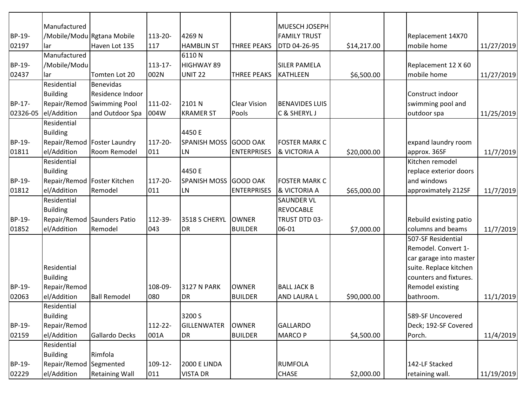|          | Manufactured                  |                               |            |                       |                     | MUESCH JOSEPH         |             |                        |            |
|----------|-------------------------------|-------------------------------|------------|-----------------------|---------------------|-----------------------|-------------|------------------------|------------|
| BP-19-   |                               | /Mobile/Modu Rgtana Mobile    | 113-20-    | 4269N                 |                     | <b>FAMILY TRUST</b>   |             | Replacement 14X70      |            |
| 02197    | lar                           | Haven Lot 135                 | 117        | <b>HAMBLIN ST</b>     | <b>THREE PEAKS</b>  | DTD 04-26-95          | \$14,217.00 | mobile home            | 11/27/2019 |
|          | Manufactured                  |                               |            | 6110N                 |                     |                       |             |                        |            |
| BP-19-   | /Mobile/Modu                  |                               | $113 - 17$ | HIGHWAY 89            |                     | <b>SILER PAMELA</b>   |             | Replacement 12 X 60    |            |
| 02437    | lar                           | Tomten Lot 20                 | 002N       | <b>UNIT 22</b>        | <b>THREE PEAKS</b>  | <b>KATHLEEN</b>       | \$6,500.00  | mobile home            | 11/27/2019 |
|          | Residential                   | Benevidas                     |            |                       |                     |                       |             |                        |            |
|          | <b>Building</b>               | Residence Indoor              |            |                       |                     |                       |             | Construct indoor       |            |
| BP-17-   |                               | Repair/Remod Swimming Pool    | 111-02-    | 2101 N                | <b>Clear Vision</b> | <b>BENAVIDES LUIS</b> |             | swimming pool and      |            |
| 02326-05 | el/Addition                   | and Outdoor Spa               | 004W       | <b>KRAMER ST</b>      | Pools               | C & SHERYL J          |             | outdoor spa            | 11/25/2019 |
|          | Residential                   |                               |            |                       |                     |                       |             |                        |            |
|          | <b>Building</b>               |                               |            | 4450 E                |                     |                       |             |                        |            |
| BP-19-   |                               | Repair/Remod   Foster Laundry | 117-20-    | SPANISH MOSS GOOD OAK |                     | <b>FOSTER MARK C</b>  |             | expand laundry room    |            |
| 01811    | el/Addition                   | Room Remodel                  | 011        | LN                    | <b>ENTERPRISES</b>  | & VICTORIA A          | \$20,000.00 | approx. 36SF           | 11/7/2019  |
|          | Residential                   |                               |            |                       |                     |                       |             | Kitchen remodel        |            |
|          | <b>Building</b>               |                               |            | 4450 E                |                     |                       |             | replace exterior doors |            |
| BP-19-   | Repair/Remod   Foster Kitchen |                               | 117-20-    | SPANISH MOSS GOOD OAK |                     | <b>FOSTER MARK C</b>  |             | and windows            |            |
| 01812    | el/Addition                   | Remodel                       | 011        | <b>LN</b>             | <b>ENTERPRISES</b>  | & VICTORIA A          | \$65,000.00 | approximately 212SF    | 11/7/2019  |
|          | Residential                   |                               |            |                       |                     | <b>SAUNDER VL</b>     |             |                        |            |
|          | <b>Building</b>               |                               |            |                       |                     | <b>REVOCABLE</b>      |             |                        |            |
| BP-19-   |                               | Repair/Remod Saunders Patio   | 112-39-    | 3518 S CHERYL         | <b>OWNER</b>        | TRUST DTD 03-         |             | Rebuild existing patio |            |
| 01852    | el/Addition                   | Remodel                       | 043        | DR                    | <b>BUILDER</b>      | 06-01                 | \$7,000.00  | columns and beams      | 11/7/2019  |
|          |                               |                               |            |                       |                     |                       |             | 507-SF Residential     |            |
|          |                               |                               |            |                       |                     |                       |             | Remodel. Convert 1-    |            |
|          |                               |                               |            |                       |                     |                       |             | car garage into master |            |
|          | Residential                   |                               |            |                       |                     |                       |             | suite. Replace kitchen |            |
|          | <b>Building</b>               |                               |            |                       |                     |                       |             | counters and fixtures. |            |
| BP-19-   | Repair/Remod                  |                               | 108-09-    | <b>3127 N PARK</b>    | <b>OWNER</b>        | <b>BALL JACK B</b>    |             | Remodel existing       |            |
| 02063    | el/Addition                   | <b>Ball Remodel</b>           | 080        | DR                    | <b>BUILDER</b>      | AND LAURA L           | \$90,000.00 | bathroom.              | 11/1/2019  |
|          | Residential                   |                               |            |                       |                     |                       |             |                        |            |
|          | <b>Building</b>               |                               |            | 3200 S                |                     |                       |             | 589-SF Uncovered       |            |
| BP-19-   | Repair/Remod                  |                               | 112-22-    | <b>GILLENWATER</b>    | <b>OWNER</b>        | <b>GALLARDO</b>       |             | Deck; 192-SF Covered   |            |
| 02159    | el/Addition                   | Gallardo Decks                | 001A       | DR                    | <b>BUILDER</b>      | <b>MARCO P</b>        | \$4,500.00  | Porch.                 | 11/4/2019  |
|          | Residential                   |                               |            |                       |                     |                       |             |                        |            |
|          | <b>Building</b>               | Rimfola                       |            |                       |                     |                       |             |                        |            |
| BP-19-   | Repair/Remod Segmented        |                               | 109-12-    | <b>2000 E LINDA</b>   |                     | <b>RUMFOLA</b>        |             | 142-LF Stacked         |            |
| 02229    | el/Addition                   | <b>Retaining Wall</b>         | 011        | <b>VISTA DR</b>       |                     | CHASE                 | \$2,000.00  | retaining wall.        | 11/19/2019 |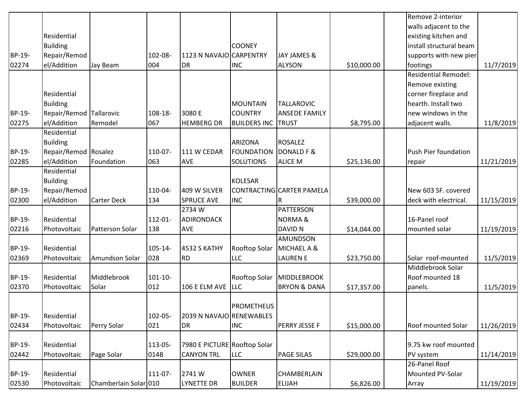|        |                         |                       |            |                              |                     |                           |             | Remove 2-interior           |            |
|--------|-------------------------|-----------------------|------------|------------------------------|---------------------|---------------------------|-------------|-----------------------------|------------|
|        |                         |                       |            |                              |                     |                           |             | walls adjacent to the       |            |
|        | Residential             |                       |            |                              |                     |                           |             | existing kitchen and        |            |
|        | <b>Building</b>         |                       |            |                              | <b>COONEY</b>       |                           |             | install structural beam     |            |
| BP-19- | Repair/Remod            |                       | 102-08-    | 1123 N NAVAJO CARPENTRY      |                     | JAY JAMES &               |             | supports with new pier      |            |
| 02274  | el/Addition             | Jay Beam              | 004        | DR                           | <b>INC</b>          | <b>ALYSON</b>             | \$10,000.00 | footings                    | 11/7/2019  |
|        |                         |                       |            |                              |                     |                           |             | <b>Residential Remodel:</b> |            |
|        |                         |                       |            |                              |                     |                           |             | Remove existing             |            |
|        | Residential             |                       |            |                              |                     |                           |             | corner fireplace and        |            |
|        | <b>Building</b>         |                       |            |                              | <b>MOUNTAIN</b>     | <b>TALLAROVIC</b>         |             | hearth. Install two         |            |
| BP-19- | Repair/Remod Tallarovic |                       | 108-18-    | 3080 E                       | <b>COUNTRY</b>      | <b>ANSEDE FAMILY</b>      |             | new windows in the          |            |
| 02275  | el/Addition             | Remodel               | 067        | <b>HEMBERG DR</b>            | <b>BUILDERS INC</b> | <b>TRUST</b>              | \$8,795.00  | adjacent walls.             | 11/8/2019  |
|        | Residential             |                       |            |                              |                     |                           |             |                             |            |
|        | <b>Building</b>         |                       |            |                              | <b>ARIZONA</b>      | <b>ROSALEZ</b>            |             |                             |            |
| BP-19- | Repair/Remod Rosalez    |                       | 110-07-    | 111 W CEDAR                  | FOUNDATION          | DONALD F &                |             | Push Pier foundation        |            |
| 02285  | el/Addition             | Foundation            | 063        | <b>AVE</b>                   | <b>SOLUTIONS</b>    | <b>ALICE M</b>            | \$25,136.00 | repair                      | 11/21/2019 |
|        | Residential             |                       |            |                              |                     |                           |             |                             |            |
|        | <b>Building</b>         |                       |            |                              | <b>KOLESAR</b>      |                           |             |                             |            |
| BP-19- | Repair/Remod            |                       | 110-04-    | 409 W SILVER                 |                     | CONTRACTING CARTER PAMELA |             | New 603 SF. covered         |            |
| 02300  | el/Addition             | <b>Carter Deck</b>    | 134        | <b>SPRUCE AVE</b>            | <b>INC</b>          | R                         | \$39,000.00 | deck with electrical.       | 11/15/2019 |
|        |                         |                       |            | 2734W                        |                     | <b>PATTERSON</b>          |             |                             |            |
| BP-19- | Residential             |                       | 112-01-    | <b>ADIRONDACK</b>            |                     | <b>NORMA&amp;</b>         |             | 16-Panel roof               |            |
| 02216  | Photovoltaic            | Patterson Solar       | 138        | <b>AVE</b>                   |                     | <b>DAVID N</b>            | \$14,044.00 | mounted solar               | 11/19/2019 |
|        |                         |                       |            |                              |                     | AMUNDSON                  |             |                             |            |
| BP-19- | Residential             |                       | $105 - 14$ | 4532 S KATHY                 | Rooftop Solar       | MICHAEL A &               |             |                             |            |
| 02369  | Photovoltaic            | Amundson Solar        | 028        | <b>RD</b>                    | <b>LLC</b>          | <b>LAUREN E</b>           | \$23,750.00 | Solar roof-mounted          | 11/5/2019  |
|        |                         |                       |            |                              |                     |                           |             | Middlebrook Solar           |            |
| BP-19- | Residential             | Middlebrook           | 101-10-    |                              | Rooftop Solar       | MIDDLEBROOK               |             | Roof mounted 18             |            |
| 02370  | Photovoltaic            | Solar                 | 012        | 106 E ELM AVE LLC            |                     | <b>BRYON &amp; DANA</b>   | \$17,357.00 | panels.                     | 11/5/2019  |
|        |                         |                       |            |                              |                     |                           |             |                             |            |
|        |                         |                       |            |                              | <b>PROMETHEUS</b>   |                           |             |                             |            |
| BP-19- | Residential             |                       | 102-05-    | 2039 N NAVAJO RENEWABLES     |                     |                           |             |                             |            |
| 02434  | Photovoltaic            | Perry Solar           | 021        | <b>DR</b>                    | <b>INC</b>          | PERRY JESSE F             | \$15,000.00 | <b>Roof mounted Solar</b>   | 11/26/2019 |
|        |                         |                       |            |                              |                     |                           |             |                             |            |
| BP-19- | Residential             |                       | 113-05-    | 7980 E PICTURE Rooftop Solar |                     |                           |             | 9.75 kw roof mounted        |            |
| 02442  | Photovoltaic            | Page Solar            | 014B       | <b>CANYON TRL</b>            | <b>LLC</b>          | <b>PAGE SILAS</b>         | \$29,000.00 | PV system                   | 11/14/2019 |
|        |                         |                       |            |                              |                     |                           |             | 26-Panel Roof               |            |
| BP-19- | Residential             |                       | 111-07-    | 2741W                        | <b>OWNER</b>        | <b>CHAMBERLAIN</b>        |             | Mounted PV-Solar            |            |
| 02530  | Photovoltaic            | Chamberlain Solar 010 |            | <b>LYNETTE DR</b>            | <b>BUILDER</b>      | <b>ELIJAH</b>             | \$6,826.00  | Array                       | 11/19/2019 |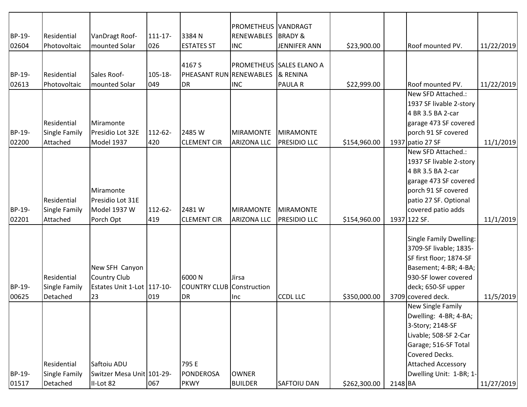| BP-19-          | Residential                                     | VanDragt Roof-                                                            | $111 - 17$     | 3384N                                          | PROMETHEUS VANDRAGT<br><b>RENEWABLES</b> | <b>BRADY &amp;</b>                                    |              |         |                                                                                                                                                                                   |            |
|-----------------|-------------------------------------------------|---------------------------------------------------------------------------|----------------|------------------------------------------------|------------------------------------------|-------------------------------------------------------|--------------|---------|-----------------------------------------------------------------------------------------------------------------------------------------------------------------------------------|------------|
| 02604           | Photovoltaic                                    | mounted Solar                                                             | 026            | <b>ESTATES ST</b>                              | <b>INC</b>                               | <b>JENNIFER ANN</b>                                   | \$23,900.00  |         | Roof mounted PV.                                                                                                                                                                  | 11/22/2019 |
| BP-19-<br>02613 | Residential<br>Photovoltaic                     | Sales Roof-<br>mounted Solar                                              | 105-18-<br>049 | 4167 S<br>PHEASANT RUN RENEWABLES<br><b>DR</b> | <b>INC</b>                               | PROMETHEUS SALES ELANO A<br>& RENINA<br><b>PAULAR</b> | \$22,999.00  |         | Roof mounted PV.                                                                                                                                                                  | 11/22/2019 |
| BP-19-          | Residential<br><b>Single Family</b>             | Miramonte<br>Presidio Lot 32E                                             | 112-62-        | 2485 W                                         | MIRAMONTE                                | <b>MIRAMONTE</b>                                      |              |         | New SFD Attached.:<br>1937 SF livable 2-story<br>4 BR 3.5 BA 2-car<br>garage 473 SF covered<br>porch 91 SF covered                                                                |            |
| 02200           | Attached                                        | Model 1937                                                                | 420            | <b>CLEMENT CIR</b>                             | <b>ARIZONA LLC</b>                       | <b>PRESIDIO LLC</b>                                   | \$154,960.00 |         | 1937 patio 27 SF                                                                                                                                                                  | 11/1/2019  |
| BP-19-<br>02201 | Residential<br>Single Family<br>Attached        | Miramonte<br>Presidio Lot 31E<br>Model 1937 W<br>Porch Opt                | 112-62-<br>419 | 2481W<br><b>CLEMENT CIR</b>                    | <b>MIRAMONTE</b><br><b>ARIZONA LLC</b>   | <b>MIRAMONTE</b><br>PRESIDIO LLC                      | \$154,960.00 |         | New SFD Attached.:<br>1937 SF livable 2-story<br>4 BR 3.5 BA 2-car<br>garage 473 SF covered<br>porch 91 SF covered<br>patio 27 SF. Optional<br>covered patio adds<br>1937 122 SF. | 11/1/2019  |
|                 |                                                 |                                                                           |                |                                                |                                          |                                                       |              |         |                                                                                                                                                                                   |            |
| BP-19-<br>00625 | Residential<br><b>Single Family</b><br>Detached | New SFH Canyon<br><b>Country Club</b><br>Estates Unit 1-Lot 117-10-<br>23 | 019            | 6000N<br><b>COUNTRY CLUB</b><br><b>DR</b>      | Jirsa<br>Construction<br>Inc             | <b>CCDL LLC</b>                                       | \$350,000.00 |         | Single Family Dwelling:<br>3709-SF livable; 1835-<br>SF first floor; 1874-SF<br>Basement; 4-BR; 4-BA;<br>930-SF lower covered<br>deck; 650-SF upper<br>3709 covered deck.         | 11/5/2019  |
|                 |                                                 |                                                                           |                |                                                |                                          |                                                       |              |         | New Single Family                                                                                                                                                                 |            |
|                 | Residential                                     | Saftoiu ADU                                                               |                | 795 E                                          |                                          |                                                       |              |         | Dwelling: 4-BR; 4-BA;<br>3-Story; 2148-SF<br>Livable; 508-SF 2-Car<br>Garage; 516-SF Total<br>Covered Decks.<br><b>Attached Accessory</b>                                         |            |
| BP-19-<br>01517 | Single Family<br>Detached                       | Switzer Mesa Unit 101-29-<br>II-Lot 82                                    | 067            | <b>PONDEROSA</b><br><b>PKWY</b>                | <b>OWNER</b><br><b>BUILDER</b>           | SAFTOIU DAN                                           | \$262,300.00 | 2148 BA | Dwelling Unit: 1-BR; 1-                                                                                                                                                           | 11/27/2019 |
|                 |                                                 |                                                                           |                |                                                |                                          |                                                       |              |         |                                                                                                                                                                                   |            |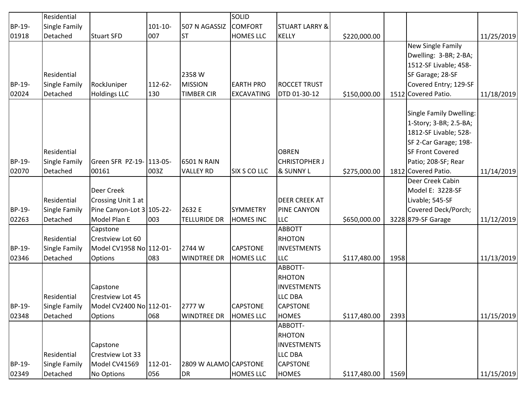|        | Residential          |                           |              |                       | <b>SOLID</b>        |                           |              |      |                         |            |
|--------|----------------------|---------------------------|--------------|-----------------------|---------------------|---------------------------|--------------|------|-------------------------|------------|
| BP-19- | <b>Single Family</b> |                           | $101 - 10 -$ | 507 N AGASSIZ         | <b>COMFORT</b>      | <b>STUART LARRY &amp;</b> |              |      |                         |            |
| 01918  | Detached             | Stuart SFD                | 007          | <b>ST</b>             | <b>HOMES LLC</b>    | <b>KELLY</b>              | \$220,000.00 |      |                         | 11/25/2019 |
|        |                      |                           |              |                       |                     |                           |              |      | New Single Family       |            |
|        |                      |                           |              |                       |                     |                           |              |      | Dwelling: 3-BR; 2-BA;   |            |
|        |                      |                           |              |                       |                     |                           |              |      | 1512-SF Livable; 458-   |            |
|        | Residential          |                           |              | 2358 W                |                     |                           |              |      | SF Garage; 28-SF        |            |
| BP-19- | Single Family        | RockJuniper               | 112-62-      | <b>MISSION</b>        | <b>EARTH PRO</b>    | <b>ROCCET TRUST</b>       |              |      | Covered Entry; 129-SF   |            |
| 02024  | Detached             | <b>Holdings LLC</b>       | 130          | <b>TIMBER CIR</b>     | <b>EXCAVATING</b>   | DTD 01-30-12              | \$150,000.00 |      | 1512 Covered Patio.     | 11/18/2019 |
|        |                      |                           |              |                       |                     |                           |              |      |                         |            |
|        |                      |                           |              |                       |                     |                           |              |      | Single Family Dwelling: |            |
|        |                      |                           |              |                       |                     |                           |              |      | 1-Story; 3-BR; 2.5-BA;  |            |
|        |                      |                           |              |                       |                     |                           |              |      | 1812-SF Livable; 528-   |            |
|        |                      |                           |              |                       |                     |                           |              |      | SF 2-Car Garage; 198-   |            |
|        | Residential          |                           |              |                       |                     | <b>OBREN</b>              |              |      | <b>SF Front Covered</b> |            |
| BP-19- | <b>Single Family</b> | Green SFR PZ-19- 113-05-  |              | <b>6501 N RAIN</b>    |                     | <b>CHRISTOPHER J</b>      |              |      | Patio; 208-SF; Rear     |            |
| 02070  | Detached             | 00161                     | 003Z         | <b>VALLEY RD</b>      | <b>SIX S CO LLC</b> | & SUNNY L                 | \$275,000.00 |      | 1812 Covered Patio.     | 11/14/2019 |
|        |                      |                           |              |                       |                     |                           |              |      | Deer Creek Cabin        |            |
|        |                      | Deer Creek                |              |                       |                     |                           |              |      | Model E: 3228-SF        |            |
|        | Residential          | Crossing Unit 1 at        |              |                       |                     | DEER CREEK AT             |              |      | Livable; 545-SF         |            |
| BP-19- | <b>Single Family</b> | Pine Canyon-Lot 3 105-22- |              | 2632 E                | <b>SYMMETRY</b>     | <b>PINE CANYON</b>        |              |      | Covered Deck/Porch;     |            |
| 02263  | Detached             | Model Plan E              | 003          | <b>TELLURIDE DR</b>   | <b>HOMES INC</b>    | <b>LLC</b>                | \$650,000.00 |      | 3228 879-SF Garage      | 11/12/2019 |
|        |                      | Capstone                  |              |                       |                     | <b>ABBOTT</b>             |              |      |                         |            |
|        | Residential          | Crestview Lot 60          |              |                       |                     | <b>RHOTON</b>             |              |      |                         |            |
| BP-19- | <b>Single Family</b> | Model CV1958 No 112-01-   |              | 2744 W                | <b>CAPSTONE</b>     | <b>INVESTMENTS</b>        |              |      |                         |            |
| 02346  | Detached             | <b>Options</b>            | 083          | <b>WINDTREE DR</b>    | <b>HOMES LLC</b>    | <b>LLC</b>                | \$117,480.00 | 1958 |                         | 11/13/2019 |
|        |                      |                           |              |                       |                     | ABBOTT-                   |              |      |                         |            |
|        |                      |                           |              |                       |                     | <b>RHOTON</b>             |              |      |                         |            |
|        |                      | Capstone                  |              |                       |                     | <b>INVESTMENTS</b>        |              |      |                         |            |
|        | Residential          | Crestview Lot 45          |              |                       |                     | <b>LLC DBA</b>            |              |      |                         |            |
| BP-19- | Single Family        | Model CV2400 No 112-01-   |              | 2777W                 | <b>CAPSTONE</b>     | <b>CAPSTONE</b>           |              |      |                         |            |
| 02348  | Detached             | Options                   | 068          | <b>WINDTREE DR</b>    | <b>HOMES LLC</b>    | <b>HOMES</b>              | \$117,480.00 | 2393 |                         | 11/15/2019 |
|        |                      |                           |              |                       |                     | ABBOTT-                   |              |      |                         |            |
|        |                      |                           |              |                       |                     | <b>RHOTON</b>             |              |      |                         |            |
|        |                      | Capstone                  |              |                       |                     | <b>INVESTMENTS</b>        |              |      |                         |            |
|        | Residential          | Crestview Lot 33          |              |                       |                     | LLC DBA                   |              |      |                         |            |
| BP-19- | <b>Single Family</b> | Model CV41569             | $112 - 01 -$ | 2809 W ALAMO CAPSTONE |                     | CAPSTONE                  |              |      |                         |            |
| 02349  | Detached             | No Options                | 056          | DR                    | <b>HOMES LLC</b>    | <b>HOMES</b>              | \$117,480.00 | 1569 |                         | 11/15/2019 |
|        |                      |                           |              |                       |                     |                           |              |      |                         |            |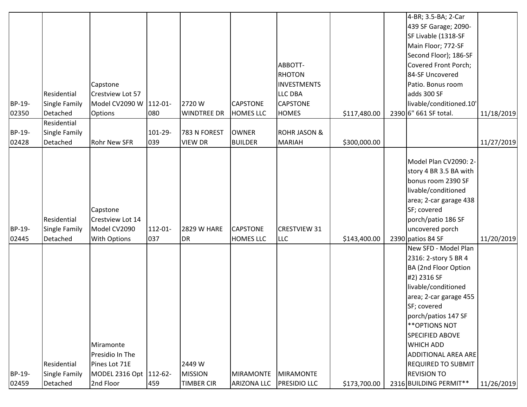| Residential<br><b>Single Family</b><br>Detached | Capstone<br>Crestview Lot 57<br><b>Options</b>                      | 080            | 2720W<br><b>WINDTREE DR</b>                                 | <b>CAPSTONE</b><br><b>HOMES LLC</b> | ABBOTT-<br><b>RHOTON</b><br><b>INVESTMENTS</b><br><b>LLC DBA</b><br><b>CAPSTONE</b><br><b>HOMES</b> | \$117,480.00            | 4-BR; 3.5-BA; 2-Car<br>439 SF Garage; 2090-<br>SF Livable (1318-SF<br>Main Floor; 772-SF<br>Second Floor); 186-SF<br>Covered Front Porch;<br>84-SF Uncovered<br>Patio. Bonus room<br>adds 300 SF<br>livable/conditioned.10'<br>2390 6" 661 SF total.                                                                        | 11/18/2019 |
|-------------------------------------------------|---------------------------------------------------------------------|----------------|-------------------------------------------------------------|-------------------------------------|-----------------------------------------------------------------------------------------------------|-------------------------|-----------------------------------------------------------------------------------------------------------------------------------------------------------------------------------------------------------------------------------------------------------------------------------------------------------------------------|------------|
| Residential                                     |                                                                     |                |                                                             |                                     |                                                                                                     |                         |                                                                                                                                                                                                                                                                                                                             |            |
| Detached                                        | <b>Rohr New SFR</b>                                                 | 039            | <b>VIEW DR</b>                                              | <b>BUILDER</b>                      | <b>MARIAH</b>                                                                                       | \$300,000.00            |                                                                                                                                                                                                                                                                                                                             | 11/27/2019 |
| Residential<br>Single Family<br>Detached        | Capstone<br>Crestview Lot 14<br>Model CV2090<br><b>With Options</b> | 112-01-<br>037 | <b>2829 W HARE</b><br><b>DR</b>                             | <b>CAPSTONE</b><br><b>HOMES LLC</b> | <b>CRESTVIEW 31</b><br><b>LLC</b>                                                                   | \$143,400.00            | Model Plan CV2090: 2-<br>story 4 BR 3.5 BA with<br>bonus room 2390 SF<br>livable/conditioned<br>area; 2-car garage 438<br>SF; covered<br>porch/patio 186 SF<br>uncovered porch<br>2390 patios 84 SF                                                                                                                         | 11/20/2019 |
| Residential                                     | Miramonte<br>Presidio In The<br>Pines Lot 71E                       |                | 2449 W<br><b>MISSION</b>                                    | <b>MIRAMONTE</b>                    | <b>MIRAMONTE</b>                                                                                    |                         | New SFD - Model Plan<br>2316: 2-story 5 BR 4<br><b>BA (2nd Floor Option</b><br>#2) 2316 SF<br>livable/conditioned<br>area; 2-car garage 455<br>SF; covered<br>porch/patios 147 SF<br>** OPTIONS NOT<br>SPECIFIED ABOVE<br><b>WHICH ADD</b><br><b>ADDITIONAL AREA ARE</b><br><b>REQUIRED TO SUBMIT</b><br><b>REVISION TO</b> |            |
| Detached                                        | 2nd Floor                                                           | 459            | <b>TIMBER CIR</b>                                           | <b>ARIZONA LLC</b>                  | PRESIDIO LLC                                                                                        | \$173,700.00            | 2316 BUILDING PERMIT**                                                                                                                                                                                                                                                                                                      | 11/26/2019 |
|                                                 | Single Family<br>Single Family                                      |                | Model CV2090 W 112-01-<br>101-29-<br>MODEL 2316 Opt 112-62- | 783 N FOREST                        | <b>OWNER</b>                                                                                        | <b>ROHR JASON &amp;</b> |                                                                                                                                                                                                                                                                                                                             |            |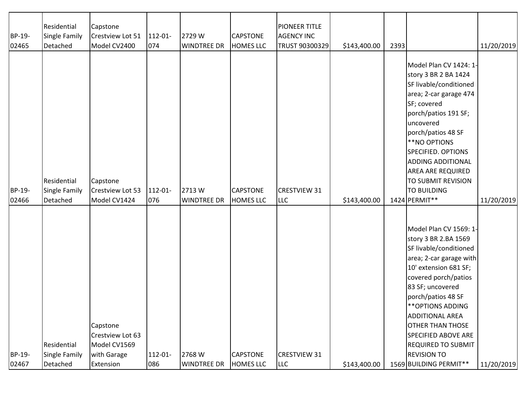| BP-19-<br>02465 | Residential<br><b>Single Family</b><br>Detached | Capstone<br>Crestview Lot 51<br>Model CV2400                             | 112-01-<br>074 | 2729W<br><b>WINDTREE DR</b> | <b>CAPSTONE</b><br><b>HOMES LLC</b> | <b>PIONEER TITLE</b><br><b>AGENCY INC</b><br>TRUST 90300329 | \$143,400.00 | 2393 |                                                                                                                                                                                                                                                                                                                                                                                     | 11/20/2019 |
|-----------------|-------------------------------------------------|--------------------------------------------------------------------------|----------------|-----------------------------|-------------------------------------|-------------------------------------------------------------|--------------|------|-------------------------------------------------------------------------------------------------------------------------------------------------------------------------------------------------------------------------------------------------------------------------------------------------------------------------------------------------------------------------------------|------------|
| BP-19-<br>02466 | Residential<br>Single Family<br>Detached        | Capstone<br>Crestview Lot 53<br>Model CV1424                             | 112-01-<br>076 | 2713W<br>WINDTREE DR        | <b>CAPSTONE</b><br><b>HOMES LLC</b> | <b>CRESTVIEW 31</b><br><b>LLC</b>                           | \$143,400.00 |      | Model Plan CV 1424: 1-<br>story 3 BR 2 BA 1424<br>SF livable/conditioned<br>area; 2-car garage 474<br>SF; covered<br>porch/patios 191 SF;<br>uncovered<br>porch/patios 48 SF<br>**NO OPTIONS<br>SPECIFIED. OPTIONS<br><b>ADDING ADDITIONAL</b><br><b>AREA ARE REQUIRED</b><br>TO SUBMIT REVISION<br>TO BUILDING<br>1424 PERMIT**                                                    | 11/20/2019 |
| BP-19-<br>02467 | Residential<br>Single Family<br>Detached        | Capstone<br>Crestview Lot 63<br>Model CV1569<br>with Garage<br>Extension | 112-01-<br>086 | 2768 W<br>WINDTREE DR       | <b>CAPSTONE</b><br><b>HOMES LLC</b> | <b>CRESTVIEW 31</b><br><b>LLC</b>                           | \$143,400.00 |      | Model Plan CV 1569: 1-<br>story 3 BR 2.BA 1569<br>SF livable/conditioned<br>area; 2-car garage with<br>10' extension 681 SF;<br>covered porch/patios<br>83 SF; uncovered<br>porch/patios 48 SF<br>** OPTIONS ADDING<br><b>ADDITIONAL AREA</b><br><b>OTHER THAN THOSE</b><br><b>SPECIFIED ABOVE ARE</b><br><b>REQUIRED TO SUBMIT</b><br><b>REVISION TO</b><br>1569 BUILDING PERMIT** | 11/20/2019 |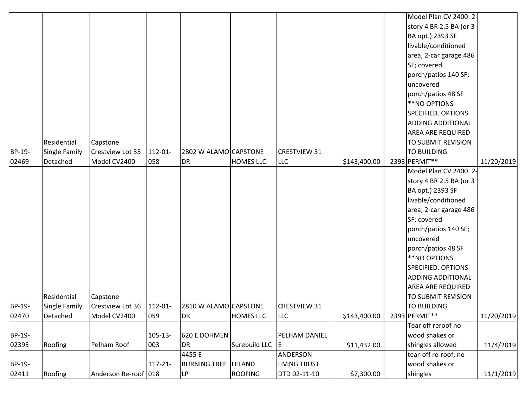|        |                      |                      |              |                       |                  |                     |              | Model Plan CV 2400: 2-    |            |
|--------|----------------------|----------------------|--------------|-----------------------|------------------|---------------------|--------------|---------------------------|------------|
|        |                      |                      |              |                       |                  |                     |              | story 4 BR 2.5 BA (or 3   |            |
|        |                      |                      |              |                       |                  |                     |              | BA opt.) 2393 SF          |            |
|        |                      |                      |              |                       |                  |                     |              | livable/conditioned       |            |
|        |                      |                      |              |                       |                  |                     |              | area; 2-car garage 486    |            |
|        |                      |                      |              |                       |                  |                     |              | SF; covered               |            |
|        |                      |                      |              |                       |                  |                     |              | porch/patios 140 SF;      |            |
|        |                      |                      |              |                       |                  |                     |              | uncovered                 |            |
|        |                      |                      |              |                       |                  |                     |              | porch/patios 48 SF        |            |
|        |                      |                      |              |                       |                  |                     |              | **NO OPTIONS              |            |
|        |                      |                      |              |                       |                  |                     |              | <b>SPECIFIED. OPTIONS</b> |            |
|        |                      |                      |              |                       |                  |                     |              | <b>ADDING ADDITIONAL</b>  |            |
|        |                      |                      |              |                       |                  |                     |              | <b>AREA ARE REQUIRED</b>  |            |
|        | Residential          | Capstone             |              |                       |                  |                     |              | TO SUBMIT REVISION        |            |
| BP-19- | Single Family        | Crestview Lot 35     | 112-01-      | 2802 W ALAMO CAPSTONE |                  | <b>CRESTVIEW 31</b> |              | TO BUILDING               |            |
| 02469  | Detached             | Model CV2400         | 058          | DR                    | <b>HOMES LLC</b> | <b>LLC</b>          | \$143,400.00 | 2393 PERMIT**             | 11/20/2019 |
|        |                      |                      |              |                       |                  |                     |              | Model Plan CV 2400: 2-    |            |
|        |                      |                      |              |                       |                  |                     |              | story 4 BR 2.5 BA (or 3   |            |
|        |                      |                      |              |                       |                  |                     |              | BA opt.) 2393 SF          |            |
|        |                      |                      |              |                       |                  |                     |              | livable/conditioned       |            |
|        |                      |                      |              |                       |                  |                     |              | area; 2-car garage 486    |            |
|        |                      |                      |              |                       |                  |                     |              | SF; covered               |            |
|        |                      |                      |              |                       |                  |                     |              | porch/patios 140 SF;      |            |
|        |                      |                      |              |                       |                  |                     |              | uncovered                 |            |
|        |                      |                      |              |                       |                  |                     |              | porch/patios 48 SF        |            |
|        |                      |                      |              |                       |                  |                     |              | **NO OPTIONS              |            |
|        |                      |                      |              |                       |                  |                     |              | <b>SPECIFIED. OPTIONS</b> |            |
|        |                      |                      |              |                       |                  |                     |              | <b>ADDING ADDITIONAL</b>  |            |
|        |                      |                      |              |                       |                  |                     |              | <b>AREA ARE REQUIRED</b>  |            |
|        | Residential          | Capstone             |              |                       |                  |                     |              | TO SUBMIT REVISION        |            |
| BP-19- | <b>Single Family</b> | Crestview Lot 36     | $112 - 01 -$ | 2810 W ALAMO CAPSTONE |                  | <b>CRESTVIEW 31</b> |              | <b>TO BUILDING</b>        |            |
| 02470  | Detached             | Model CV2400         | 059          | DR                    | <b>HOMES LLC</b> | <b>LLC</b>          | \$143,400.00 | 2393 PERMIT**             | 11/20/2019 |
|        |                      |                      |              |                       |                  |                     |              | Tear off reroof no        |            |
| BP-19- |                      |                      | $105 - 13 -$ | 620 E DOHMEN          |                  | PELHAM DANIEL       |              | wood shakes or            |            |
| 02395  | Roofing              | Pelham Roof          | 003          | DR                    | Surebuild LLC    | E                   | \$11,432.00  | shingles allowed          | 11/4/2019  |
|        |                      |                      |              | 4455 E                |                  | ANDERSON            |              | tear-off re-roof; no      |            |
| BP-19- |                      |                      | $117 - 21 -$ | <b>BURNING TREE</b>   | LELAND           | <b>LIVING TRUST</b> |              | wood shakes or            |            |
| 02411  | Roofing              | Anderson Re-roof 018 |              | $\mathsf{LP}$         | <b>ROOFING</b>   | DTD 02-11-10        | \$7,300.00   | shingles                  | 11/1/2019  |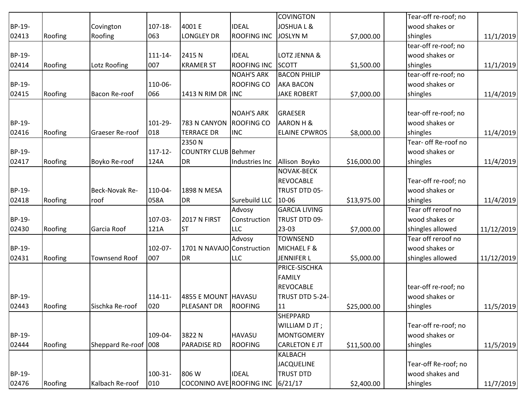|        |         |                        |            |                            |                    | <b>COVINGTON</b>     |             | Tear-off re-roof; no |            |
|--------|---------|------------------------|------------|----------------------------|--------------------|----------------------|-------------|----------------------|------------|
| BP-19- |         | Covington              | 107-18-    | 4001 E                     | <b>IDEAL</b>       | <b>JOSHUAL&amp;</b>  |             | wood shakes or       |            |
| 02413  | Roofing | Roofing                | 063        | <b>LONGLEY DR</b>          | <b>ROOFING INC</b> | <b>JOSLYN M</b>      | \$7,000.00  | shingles             | 11/1/2019  |
|        |         |                        |            |                            |                    |                      |             | tear-off re-roof; no |            |
| BP-19- |         |                        | 111-14-    | 2415N                      | <b>IDEAL</b>       | LOTZ JENNA &         |             | wood shakes or       |            |
| 02414  | Roofing | Lotz Roofing           | 007        | <b>KRAMER ST</b>           | <b>ROOFING INC</b> | <b>SCOTT</b>         | \$1,500.00  | shingles             | 11/1/2019  |
|        |         |                        |            |                            | <b>NOAH'S ARK</b>  | <b>BACON PHILIP</b>  |             | tear-off re-roof; no |            |
| BP-19- |         |                        | 110-06-    |                            | <b>ROOFING CO</b>  | <b>AKA BACON</b>     |             | wood shakes or       |            |
| 02415  | Roofing | Bacon Re-roof          | 066        | 1413 N RIM DR              | <b>INC</b>         | <b>JAKE ROBERT</b>   | \$7,000.00  | shingles             | 11/4/2019  |
|        |         |                        |            |                            | <b>NOAH'S ARK</b>  | <b>GRAESER</b>       |             | tear-off re-roof; no |            |
| BP-19- |         |                        | 101-29-    | 783 N CANYON               | <b>ROOFING CO</b>  | AARON H &            |             | wood shakes or       |            |
| 02416  |         | <b>Graeser Re-roof</b> | 018        | <b>TERRACE DR</b>          | <b>INC</b>         | <b>ELAINE CPWROS</b> |             | shingles             |            |
|        | Roofing |                        |            | 2350N                      |                    |                      | \$8,000.00  | Tear- off Re-roof no | 11/4/2019  |
|        |         |                        |            |                            |                    |                      |             |                      |            |
| BP-19- |         |                        | $117 - 12$ | <b>COUNTRY CLUB Behmer</b> |                    |                      |             | wood shakes or       |            |
| 02417  | Roofing | Boyko Re-roof          | 124A       | <b>DR</b>                  | Industries Inc     | Allison Boyko        | \$16,000.00 | shingles             | 11/4/2019  |
|        |         |                        |            |                            |                    | <b>NOVAK-BECK</b>    |             |                      |            |
|        |         |                        |            |                            |                    | <b>REVOCABLE</b>     |             | Tear-off re-roof; no |            |
| BP-19- |         | Beck-Novak Re-         | 110-04-    | <b>1898 N MESA</b>         |                    | TRUST DTD 05-        |             | wood shakes or       |            |
| 02418  | Roofing | roof                   | 058A       | <b>DR</b>                  | Surebuild LLC      | 10-06                | \$13,975.00 | shingles             | 11/4/2019  |
|        |         |                        |            |                            | Advosy             | <b>GARCIA LIVING</b> |             | Tear off reroof no   |            |
| BP-19- |         |                        | 107-03-    | <b>2017 N FIRST</b>        | Construction       | TRUST DTD 09-        |             | wood shakes or       |            |
| 02430  | Roofing | Garcia Roof            | 121A       | <b>ST</b>                  | <b>LLC</b>         | $23-03$              | \$7,000.00  | shingles allowed     | 11/12/2019 |
|        |         |                        |            |                            | Advosy             | <b>TOWNSEND</b>      |             | Tear off reroof no   |            |
| BP-19- |         |                        | 102-07-    | 1701 N NAVAJO Construction |                    | MICHAEL F &          |             | wood shakes or       |            |
| 02431  | Roofing | <b>Townsend Roof</b>   | 007        | <b>DR</b>                  | LLC                | JENNIFER L           | \$5,000.00  | shingles allowed     | 11/12/2019 |
|        |         |                        |            |                            |                    | PRICE-SISCHKA        |             |                      |            |
|        |         |                        |            |                            |                    | <b>FAMILY</b>        |             |                      |            |
|        |         |                        |            |                            |                    | <b>REVOCABLE</b>     |             | tear-off re-roof; no |            |
| BP-19- |         |                        | $114 - 11$ | 4855 E MOUNT HAVASU        |                    | TRUST DTD 5-24-      |             | wood shakes or       |            |
| 02443  | Roofing | Sischka Re-roof        | 020        | PLEASANT DR                | ROOFING            | 11                   | \$25,000.00 | shingles             | 11/5/2019  |
|        |         |                        |            |                            |                    | <b>SHEPPARD</b>      |             |                      |            |
|        |         |                        |            |                            |                    | WILLIAM D JT;        |             | Tear-off re-roof; no |            |
| BP-19- |         |                        | 109-04-    | 3822N                      | <b>HAVASU</b>      | <b>MONTGOMERY</b>    |             | wood shakes or       |            |
| 02444  | Roofing | Sheppard Re-roof 008   |            | <b>PARADISE RD</b>         | <b>ROOFING</b>     | <b>CARLETON E JT</b> | \$11,500.00 | shingles             | 11/5/2019  |
|        |         |                        |            |                            |                    | <b>KALBACH</b>       |             |                      |            |
|        |         |                        |            |                            |                    | <b>JACQUELINE</b>    |             | Tear-off Re-roof; no |            |
| BP-19- |         |                        | 100-31-    | 806 W                      | <b>IDEAL</b>       | <b>TRUST DTD</b>     |             | wood shakes and      |            |
| 02476  | Roofing | Kalbach Re-roof        | 010        | COCONINO AVE ROOFING INC   |                    | 6/21/17              | \$2,400.00  | shingles             | 11/7/2019  |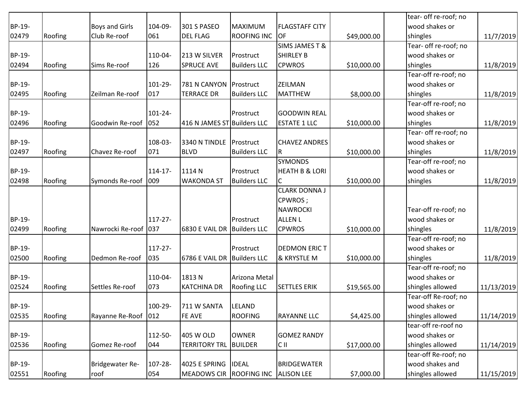|        |         |                       |              |                             |                     |                           |             | tear- off re-roof; no |            |
|--------|---------|-----------------------|--------------|-----------------------------|---------------------|---------------------------|-------------|-----------------------|------------|
| BP-19- |         | <b>Boys and Girls</b> | 104-09-      | 301 S PASEO                 | <b>MAXIMUM</b>      | <b>FLAGSTAFF CITY</b>     |             | wood shakes or        |            |
| 02479  | Roofing | Club Re-roof          | 061          | <b>DEL FLAG</b>             | ROOFING INC         | OF                        | \$49,000.00 | shingles              | 11/7/2019  |
|        |         |                       |              |                             |                     | <b>SIMS JAMES T &amp;</b> |             | Tear- off re-roof; no |            |
| BP-19- |         |                       | 110-04-      | 213 W SILVER                | Prostruct           | <b>SHIRLEY B</b>          |             | wood shakes or        |            |
| 02494  | Roofing | Sims Re-roof          | 126          | <b>SPRUCE AVE</b>           | <b>Builders LLC</b> | <b>CPWROS</b>             | \$10,000.00 | shingles              | 11/8/2019  |
|        |         |                       |              |                             |                     |                           |             | Tear-off re-roof; no  |            |
| BP-19- |         |                       | 101-29-      | 781 N CANYON Prostruct      |                     | <b>ZEILMAN</b>            |             | wood shakes or        |            |
| 02495  | Roofing | Zeilman Re-roof       | 017          | <b>TERRACE DR</b>           | <b>Builders LLC</b> | <b>MATTHEW</b>            | \$8,000.00  | shingles              | 11/8/2019  |
|        |         |                       |              |                             |                     |                           |             | Tear-off re-roof; no  |            |
| BP-19- |         |                       | $101 - 24 -$ |                             | Prostruct           | <b>GOODWIN REAL</b>       |             | wood shakes or        |            |
| 02496  | Roofing | Goodwin Re-roof       | 052          | 416 N JAMES ST Builders LLC |                     | <b>ESTATE 1 LLC</b>       | \$10,000.00 | shingles              | 11/8/2019  |
|        |         |                       |              |                             |                     |                           |             | Tear- off re-roof; no |            |
| BP-19- |         |                       | 108-03-      | 3340 N TINDLE Prostruct     |                     | <b>CHAVEZ ANDRES</b>      |             | wood shakes or        |            |
| 02497  | Roofing | Chavez Re-roof        | 071          | <b>BLVD</b>                 | <b>Builders LLC</b> | $\overline{\mathsf{R}}$   | \$10,000.00 | shingles              | 11/8/2019  |
|        |         |                       |              |                             |                     | <b>SYMONDS</b>            |             | Tear-off re-roof; no  |            |
| BP-19- |         |                       | $114 - 17$   | 1114N                       | Prostruct           | <b>HEATH B &amp; LORI</b> |             | wood shakes or        |            |
| 02498  | Roofing | Symonds Re-roof       | 009          | <b>WAKONDA ST</b>           | <b>Builders LLC</b> | C                         | \$10,000.00 | shingles              | 11/8/2019  |
|        |         |                       |              |                             |                     | <b>CLARK DONNA J</b>      |             |                       |            |
|        |         |                       |              |                             |                     | CPWROS;                   |             |                       |            |
|        |         |                       |              |                             |                     | <b>NAWROCKI</b>           |             | Tear-off re-roof; no  |            |
| BP-19- |         |                       | $117 - 27 -$ |                             | Prostruct           | <b>ALLEN L</b>            |             | wood shakes or        |            |
| 02499  | Roofing | Nawrocki Re-roof      | 037          | 6830 E VAIL DR Builders LLC |                     | <b>CPWROS</b>             | \$10,000.00 | shingles              | 11/8/2019  |
|        |         |                       |              |                             |                     |                           |             | Tear-off re-roof; no  |            |
| BP-19- |         |                       | $117 - 27 -$ |                             | Prostruct           | <b>DEDMON ERIC T</b>      |             | wood shakes or        |            |
| 02500  | Roofing | Dedmon Re-roof        | 035          | 6786 E VAIL DR Builders LLC |                     | & KRYSTLE M               | \$10,000.00 | shingles              | 11/8/2019  |
|        |         |                       |              |                             |                     |                           |             | Tear-off re-roof; no  |            |
| BP-19- |         |                       | 110-04-      | 1813N                       | Arizona Metal       |                           |             | wood shakes or        |            |
| 02524  | Roofing | Settles Re-roof       | 073          | <b>KATCHINA DR</b>          | <b>Roofing LLC</b>  | <b>SETTLES ERIK</b>       | \$19,565.00 | shingles allowed      | 11/13/2019 |
|        |         |                       |              |                             |                     |                           |             | Tear-off Re-roof; no  |            |
| BP-19- |         |                       | 100-29-      | 711 W SANTA                 | <b>LELAND</b>       |                           |             | wood shakes or        |            |
| 02535  | Roofing | Rayanne Re-Roof 012   |              | FE AVE                      | <b>ROOFING</b>      | <b>RAYANNE LLC</b>        | \$4,425.00  | shingles allowed      | 11/14/2019 |
|        |         |                       |              |                             |                     |                           |             | tear-off re-roof no   |            |
| BP-19- |         |                       | 112-50-      | 405 W OLD                   | <b>OWNER</b>        | <b>GOMEZ RANDY</b>        |             | wood shakes or        |            |
| 02536  | Roofing | Gomez Re-roof         | 044          | <b>TERRITORY TRL</b>        | <b>BUILDER</b>      | C II                      | \$17,000.00 | shingles allowed      | 11/14/2019 |
|        |         |                       |              |                             |                     |                           |             | tear-off Re-roof; no  |            |
| BP-19- |         | Bridgewater Re-       | 107-28-      | 4025 E SPRING               | <b>IDEAL</b>        | <b>BRIDGEWATER</b>        |             | wood shakes and       |            |
| 02551  | Roofing | roof                  | 054          | <b>MEADOWS CIR</b>          | <b>ROOFING INC</b>  | <b>ALISON LEE</b>         | \$7,000.00  | shingles allowed      | 11/15/2019 |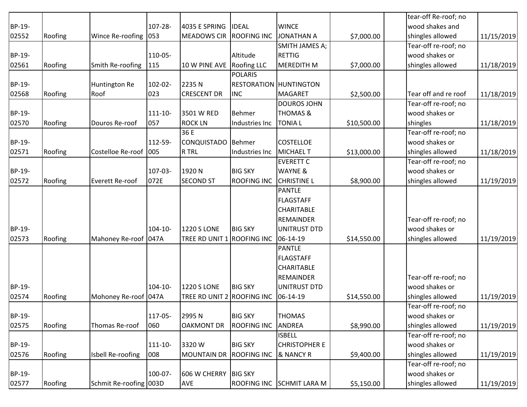|        |         |                         |              |                            |                    |                               |             | tear-off Re-roof; no |            |
|--------|---------|-------------------------|--------------|----------------------------|--------------------|-------------------------------|-------------|----------------------|------------|
| BP-19- |         |                         | 107-28-      | 4035 E SPRING              | <b>IDEAL</b>       | <b>WINCE</b>                  |             | wood shakes and      |            |
| 02552  | Roofing | Wince Re-roofing 053    |              | <b>MEADOWS CIR</b>         | <b>ROOFING INC</b> | <b>JONATHAN A</b>             | \$7,000.00  | shingles allowed     | 11/15/2019 |
|        |         |                         |              |                            |                    | SMITH JAMES A;                |             | Tear-off re-roof; no |            |
| BP-19- |         |                         | 110-05-      |                            | Altitude           | <b>RETTIG</b>                 |             | wood shakes or       |            |
| 02561  | Roofing | Smith Re-roofing        | 115          | 10 W PINE AVE              | <b>Roofing LLC</b> | <b>MEREDITH M</b>             | \$7,000.00  | shingles allowed     | 11/18/2019 |
|        |         |                         |              |                            | <b>POLARIS</b>     |                               |             |                      |            |
| BP-19- |         | Huntington Re           | 102-02-      | 2235N                      |                    | <b>RESTORATION HUNTINGTON</b> |             |                      |            |
| 02568  | Roofing | Roof                    | 023          | <b>CRESCENT DR</b>         | <b>INC</b>         | <b>MAGARET</b>                | \$2,500.00  | Tear off and re roof | 11/18/2019 |
|        |         |                         |              |                            |                    | <b>DOUROS JOHN</b>            |             | Tear-off re-roof; no |            |
| BP-19- |         |                         | 111-10-      | 3501 W RED                 | <b>Behmer</b>      | <b>THOMAS &amp;</b>           |             | wood shakes or       |            |
| 02570  | Roofing | Douros Re-roof          | 057          | <b>ROCK LN</b>             | Industries Inc     | <b>TONIAL</b>                 | \$10,500.00 | shingles             | 11/18/2019 |
|        |         |                         |              | 36 E                       |                    |                               |             | Tear-off re-roof; no |            |
| BP-19- |         |                         | 112-59-      | CONQUISTADO Behmer         |                    | <b>COSTELLOE</b>              |             | wood shakes or       |            |
| 02571  | Roofing | Costelloe Re-roof   005 |              | R TRL                      | Industries Inc     | <b>MICHAEL T</b>              | \$13,000.00 | shingles allowed     | 11/18/2019 |
|        |         |                         |              |                            |                    | <b>EVERETT C</b>              |             | Tear-off re-roof; no |            |
| BP-19- |         |                         | 107-03-      | 1920 N                     | <b>BIG SKY</b>     | <b>WAYNE &amp;</b>            |             | wood shakes or       |            |
| 02572  | Roofing | Everett Re-roof         | 072E         | <b>SECOND ST</b>           | <b>ROOFING INC</b> | <b>CHRISTINE L</b>            | \$8,900.00  | shingles allowed     | 11/19/2019 |
|        |         |                         |              |                            |                    | <b>PANTLE</b>                 |             |                      |            |
|        |         |                         |              |                            |                    | <b>FLAGSTAFF</b>              |             |                      |            |
|        |         |                         |              |                            |                    | <b>CHARITABLE</b>             |             |                      |            |
|        |         |                         |              |                            |                    | <b>REMAINDER</b>              |             | Tear-off re-roof; no |            |
| BP-19- |         |                         | $104 - 10 -$ | <b>1220 S LONE</b>         | <b>BIG SKY</b>     | <b>UNITRUST DTD</b>           |             | wood shakes or       |            |
| 02573  | Roofing | Mahoney Re-roof 047A    |              | TREE RD UNIT 1 ROOFING INC |                    | 06-14-19                      | \$14,550.00 | shingles allowed     | 11/19/2019 |
|        |         |                         |              |                            |                    | <b>PANTLE</b>                 |             |                      |            |
|        |         |                         |              |                            |                    | <b>FLAGSTAFF</b>              |             |                      |            |
|        |         |                         |              |                            |                    | CHARITABLE                    |             |                      |            |
|        |         |                         |              |                            |                    | <b>REMAINDER</b>              |             | Tear-off re-roof; no |            |
| BP-19- |         |                         | 104-10-      | <b>1220 S LONE</b>         | <b>BIG SKY</b>     | <b>UNITRUST DTD</b>           |             | wood shakes or       |            |
| 02574  | Roofing | Mohoney Re-roof 047A    |              | TREE RD UNIT 2             | <b>ROOFING INC</b> | 06-14-19                      | \$14,550.00 | shingles allowed     | 11/19/2019 |
|        |         |                         |              |                            |                    |                               |             | Tear-off re-roof; no |            |
| BP-19- |         |                         | 117-05-      | 2995N                      | <b>BIG SKY</b>     | <b>THOMAS</b>                 |             | wood shakes or       |            |
| 02575  | Roofing | Thomas Re-roof          | 060          | <b>OAKMONT DR</b>          | <b>ROOFING INC</b> | <b>ANDREA</b>                 | \$8,990.00  | shingles allowed     | 11/19/2019 |
|        |         |                         |              |                            |                    | <b>ISBELL</b>                 |             | Tear-off re-roof; no |            |
| BP-19- |         |                         | $111 - 10 -$ | 3320W                      | <b>BIG SKY</b>     | <b>CHRISTOPHER E</b>          |             | wood shakes or       |            |
| 02576  | Roofing | Isbell Re-roofing       | 008          | <b>MOUNTAIN DR</b>         | <b>ROOFING INC</b> | & NANCY R                     | \$9,400.00  | shingles allowed     | 11/19/2019 |
|        |         |                         |              |                            |                    |                               |             | Tear-off re-roof; no |            |
| BP-19- |         |                         | 100-07-      | 606 W CHERRY               | <b>BIG SKY</b>     |                               |             | wood shakes or       |            |
| 02577  | Roofing | Schmit Re-roofing 003D  |              | AVE                        | <b>ROOFING INC</b> | <b>SCHMIT LARA M</b>          | \$5,150.00  | shingles allowed     | 11/19/2019 |